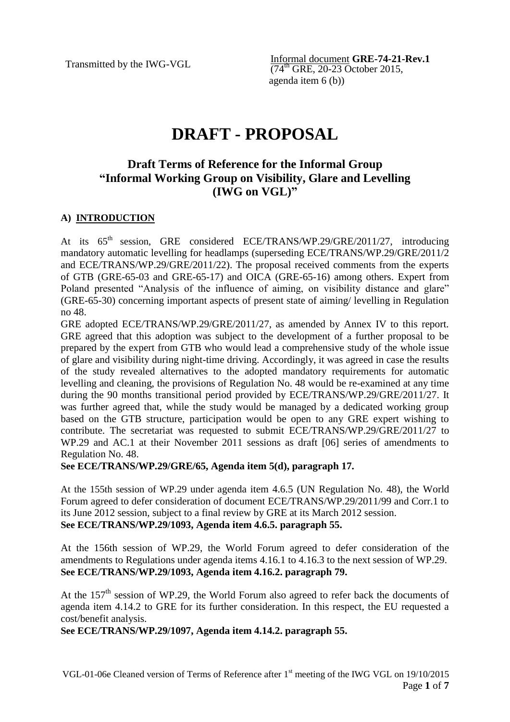Transmitted by the IWG-VGL **Informal document GRE-74-21-Rev.1**  $(74^{th}$  GRE, 20-23 October 2015, agenda item 6 (b))

# **DRAFT - PROPOSAL**

# **Draft Terms of Reference for the Informal Group "Informal Working Group on Visibility, Glare and Levelling (IWG on VGL)"**

# **A) INTRODUCTION**

At its  $65<sup>th</sup>$  session, GRE considered ECE/TRANS/WP.29/GRE/2011/27, introducing mandatory automatic levelling for headlamps (superseding ECE/TRANS/WP.29/GRE/2011/2 and ECE/TRANS/WP.29/GRE/2011/22). The proposal received comments from the experts of GTB (GRE-65-03 and GRE-65-17) and OICA (GRE-65-16) among others. Expert from Poland presented "Analysis of the influence of aiming, on visibility distance and glare" (GRE-65-30) concerning important aspects of present state of aiming/ levelling in Regulation no 48.

GRE adopted ECE/TRANS/WP.29/GRE/2011/27, as amended by Annex IV to this report. GRE agreed that this adoption was subject to the development of a further proposal to be prepared by the expert from GTB who would lead a comprehensive study of the whole issue of glare and visibility during night-time driving. Accordingly, it was agreed in case the results of the study revealed alternatives to the adopted mandatory requirements for automatic levelling and cleaning, the provisions of Regulation No. 48 would be re-examined at any time during the 90 months transitional period provided by ECE/TRANS/WP.29/GRE/2011/27. It was further agreed that, while the study would be managed by a dedicated working group based on the GTB structure, participation would be open to any GRE expert wishing to contribute. The secretariat was requested to submit ECE/TRANS/WP.29/GRE/2011/27 to WP.29 and AC.1 at their November 2011 sessions as draft [06] series of amendments to Regulation No. 48.

**See ECE/TRANS/WP.29/GRE/65, Agenda item 5(d), paragraph 17.**

At the 155th session of WP.29 under agenda item 4.6.5 (UN Regulation No. 48), the World Forum agreed to defer consideration of document ECE/TRANS/WP.29/2011/99 and Corr.1 to its June 2012 session, subject to a final review by GRE at its March 2012 session. **See ECE/TRANS/WP.29/1093, Agenda item 4.6.5. paragraph 55.**

At the 156th session of WP.29, the World Forum agreed to defer consideration of the amendments to Regulations under agenda items 4.16.1 to 4.16.3 to the next session of WP.29. **See ECE/TRANS/WP.29/1093, Agenda item 4.16.2. paragraph 79.**

At the  $157<sup>th</sup>$  session of WP.29, the World Forum also agreed to refer back the documents of agenda item 4.14.2 to GRE for its further consideration. In this respect, the EU requested a cost/benefit analysis.

**See ECE/TRANS/WP.29/1097, Agenda item 4.14.2. paragraph 55.**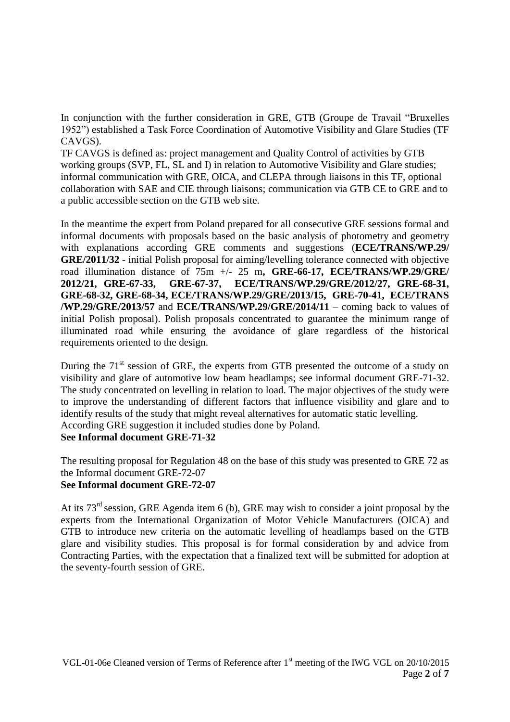In conjunction with the further consideration in GRE, GTB (Groupe de Travail "Bruxelles 1952") established a Task Force Coordination of Automotive Visibility and Glare Studies (TF CAVGS).

TF CAVGS is defined as: project management and Quality Control of activities by GTB working groups (SVP, FL, SL and I) in relation to Automotive Visibility and Glare studies; informal communication with GRE, OICA, and CLEPA through liaisons in this TF, optional collaboration with SAE and CIE through liaisons; communication via GTB CE to GRE and to a public accessible section on the GTB web site.

In the meantime the expert from Poland prepared for all consecutive GRE sessions formal and informal documents with proposals based on the basic analysis of photometry and geometry with explanations according GRE comments and suggestions (**ECE/TRANS/WP.29/ GRE/2011/32** - initial Polish proposal for aiming/levelling tolerance connected with objective road illumination distance of 75m +/- 25 m**, GRE-66-17, ECE/TRANS/WP.29/GRE/ 2012/21, GRE-67-33, GRE-67-37, ECE/TRANS/WP.29/GRE/2012/27, GRE-68-31, GRE-68-32, GRE-68-34, ECE/TRANS/WP.29/GRE/2013/15, GRE-70-41, ECE/TRANS /WP.29/GRE/2013/57** and **ECE/TRANS/WP.29/GRE/2014/11** – coming back to values of initial Polish proposal). Polish proposals concentrated to guarantee the minimum range of illuminated road while ensuring the avoidance of glare regardless of the historical requirements oriented to the design.

During the  $71<sup>st</sup>$  session of GRE, the experts from GTB presented the outcome of a study on visibility and glare of automotive low beam headlamps; see informal document GRE-71-32. The study concentrated on levelling in relation to load. The major objectives of the study were to improve the understanding of different factors that influence visibility and glare and to identify results of the study that might reveal alternatives for automatic static levelling. According GRE suggestion it included studies done by Poland. **See Informal document GRE-71-32**

The resulting proposal for Regulation 48 on the base of this study was presented to GRE 72 as the Informal document GRE-72-07 **See Informal document GRE-72-07**

At its 73rd session, GRE Agenda item 6 (b), GRE may wish to consider a joint proposal by the experts from the International Organization of Motor Vehicle Manufacturers (OICA) and GTB to introduce new criteria on the automatic levelling of headlamps based on the GTB glare and visibility studies. This proposal is for formal consideration by and advice from Contracting Parties, with the expectation that a finalized text will be submitted for adoption at the seventy-fourth session of GRE.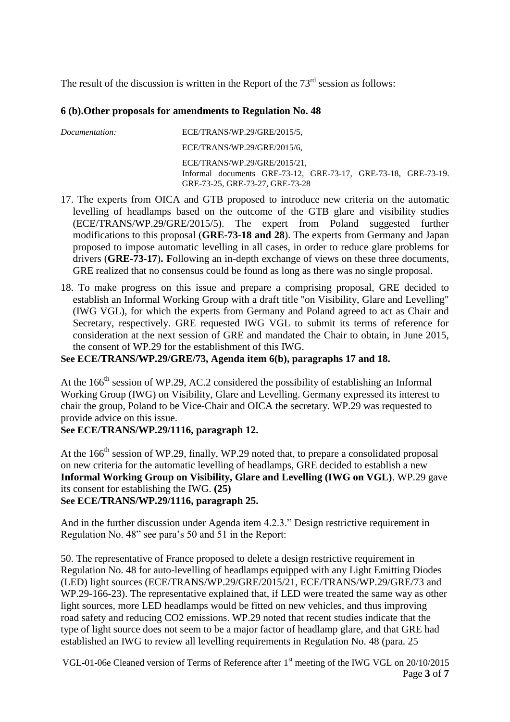The result of the discussion is written in the Report of the  $73<sup>rd</sup>$  session as follows:

# **6 (b).Other proposals for amendments to Regulation No. 48**

| Documentation: | $ECE/TRANS/WP.29/GRE/2015/5$ ,                                                                                                    |
|----------------|-----------------------------------------------------------------------------------------------------------------------------------|
|                | $ECE/TRANS/WP.29/GRE/2015/6$ ,                                                                                                    |
|                | ECE/TRANS/WP.29/GRE/2015/21.<br>Informal documents GRE-73-12, GRE-73-17, GRE-73-18, GRE-73-19.<br>GRE-73-25, GRE-73-27, GRE-73-28 |

- 17. The experts from OICA and GTB proposed to introduce new criteria on the automatic levelling of headlamps based on the outcome of the GTB glare and visibility studies (ECE/TRANS/WP.29/GRE/2015/5). The expert from Poland suggested further modifications to this proposal (**GRE-73-18 and 28**). The experts from Germany and Japan proposed to impose automatic levelling in all cases, in order to reduce glare problems for drivers (**GRE-73-17**)**. F**ollowing an in-depth exchange of views on these three documents, GRE realized that no consensus could be found as long as there was no single proposal.
- 18. To make progress on this issue and prepare a comprising proposal, GRE decided to establish an Informal Working Group with a draft title "on Visibility, Glare and Levelling" (IWG VGL), for which the experts from Germany and Poland agreed to act as Chair and Secretary, respectively. GRE requested IWG VGL to submit its terms of reference for consideration at the next session of GRE and mandated the Chair to obtain, in June 2015, the consent of WP.29 for the establishment of this IWG.

**See ECE/TRANS/WP.29/GRE/73, Agenda item 6(b), paragraphs 17 and 18.**

At the 166<sup>th</sup> session of WP.29, AC.2 considered the possibility of establishing an Informal Working Group (IWG) on Visibility, Glare and Levelling. Germany expressed its interest to chair the group, Poland to be Vice-Chair and OICA the secretary. WP.29 was requested to provide advice on this issue.

#### **See ECE/TRANS/WP.29/1116, paragraph 12.**

At the  $166<sup>th</sup>$  session of WP.29, finally, WP.29 noted that, to prepare a consolidated proposal on new criteria for the automatic levelling of headlamps, GRE decided to establish a new **Informal Working Group on Visibility, Glare and Levelling (IWG on VGL)**. WP.29 gave its consent for establishing the IWG. **(25) See ECE/TRANS/WP.29/1116, paragraph 25.**

And in the further discussion under Agenda item 4.2.3." Design restrictive requirement in Regulation No. 48" see para's 50 and 51 in the Report:

50. The representative of France proposed to delete a design restrictive requirement in Regulation No. 48 for auto-levelling of headlamps equipped with any Light Emitting Diodes (LED) light sources (ECE/TRANS/WP.29/GRE/2015/21, ECE/TRANS/WP.29/GRE/73 and WP.29-166-23). The representative explained that, if LED were treated the same way as other light sources, more LED headlamps would be fitted on new vehicles, and thus improving road safety and reducing CO2 emissions. WP.29 noted that recent studies indicate that the type of light source does not seem to be a major factor of headlamp glare, and that GRE had established an IWG to review all levelling requirements in Regulation No. 48 (para. 25

VGL-01-06e Cleaned version of Terms of Reference after 1<sup>st</sup> meeting of the IWG VGL on 20/10/2015 Page **3** of **7**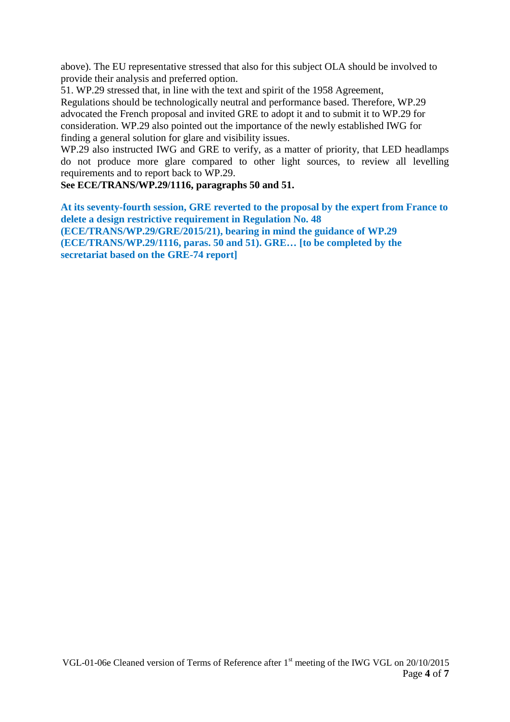above). The EU representative stressed that also for this subject OLA should be involved to provide their analysis and preferred option.

51. WP.29 stressed that, in line with the text and spirit of the 1958 Agreement, Regulations should be technologically neutral and performance based. Therefore, WP.29 advocated the French proposal and invited GRE to adopt it and to submit it to WP.29 for consideration. WP.29 also pointed out the importance of the newly established IWG for finding a general solution for glare and visibility issues.

WP.29 also instructed IWG and GRE to verify, as a matter of priority, that LED headlamps do not produce more glare compared to other light sources, to review all levelling requirements and to report back to WP.29.

**See ECE/TRANS/WP.29/1116, paragraphs 50 and 51.**

**At its seventy-fourth session, GRE reverted to the proposal by the expert from France to delete a design restrictive requirement in Regulation No. 48 (ECE/TRANS/WP.29/GRE/2015/21), bearing in mind the guidance of WP.29 (ECE/TRANS/WP.29/1116, paras. 50 and 51). GRE… [to be completed by the secretariat based on the GRE-74 report]**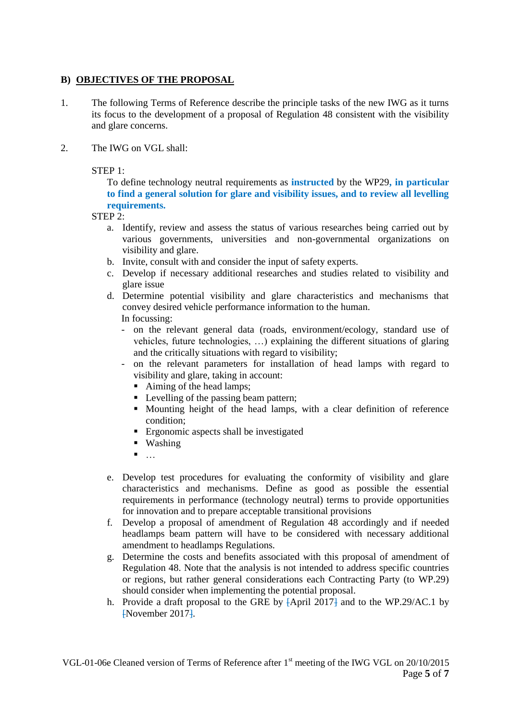# **B) OBJECTIVES OF THE PROPOSAL**

- 1. The following Terms of Reference describe the principle tasks of the new IWG as it turns its focus to the development of a proposal of Regulation 48 consistent with the visibility and glare concerns.
- 2. The IWG on VGL shall:

 $STEP 1:$ 

To define technology neutral requirements as **instructed** by the WP29**, in particular to find a general solution for glare and visibility issues, and to review all levelling requirements.**

STEP 2:

- a. Identify, review and assess the status of various researches being carried out by various governments, universities and non-governmental organizations on visibility and glare.
- b. Invite, consult with and consider the input of safety experts.
- c. Develop if necessary additional researches and studies related to visibility and glare issue
- d. Determine potential visibility and glare characteristics and mechanisms that convey desired vehicle performance information to the human. In focussing:
	- on the relevant general data (roads, environment/ecology, standard use of vehicles, future technologies, …) explaining the different situations of glaring and the critically situations with regard to visibility;
	- on the relevant parameters for installation of head lamps with regard to visibility and glare, taking in account:
		- Aiming of the head lamps;
		- Levelling of the passing beam pattern;
		- Mounting height of the head lamps, with a clear definition of reference condition;
		- **Example 1** Ergonomic aspects shall be investigated
		- **Washing**
		- $\blacksquare$
- e. Develop test procedures for evaluating the conformity of visibility and glare characteristics and mechanisms. Define as good as possible the essential requirements in performance (technology neutral) terms to provide opportunities for innovation and to prepare acceptable transitional provisions
- f. Develop a proposal of amendment of Regulation 48 accordingly and if needed headlamps beam pattern will have to be considered with necessary additional amendment to headlamps Regulations.
- g. Determine the costs and benefits associated with this proposal of amendment of Regulation 48. Note that the analysis is not intended to address specific countries or regions, but rather general considerations each Contracting Party (to WP.29) should consider when implementing the potential proposal.
- h. Provide a draft proposal to the GRE by  $\overline{APr}$  and to the WP.29/AC.1 by [November 2017].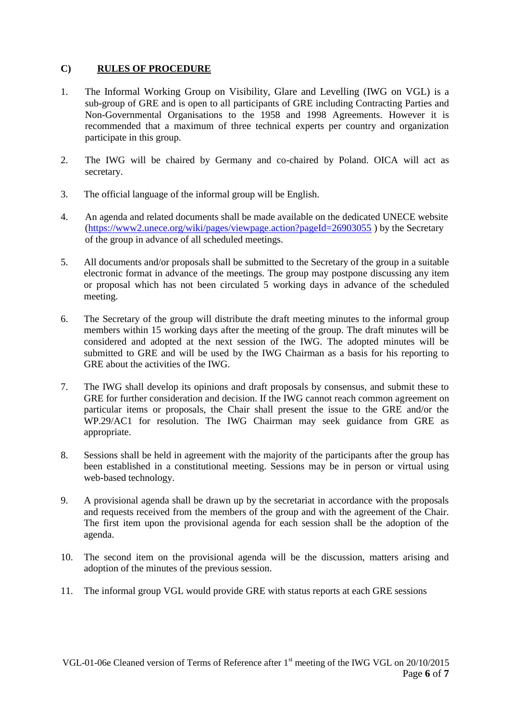## **C) RULES OF PROCEDURE**

- 1. The Informal Working Group on Visibility, Glare and Levelling (IWG on VGL) is a sub-group of GRE and is open to all participants of GRE including Contracting Parties and Non-Governmental Organisations to the 1958 and 1998 Agreements. However it is recommended that a maximum of three technical experts per country and organization participate in this group.
- 2. The IWG will be chaired by Germany and co-chaired by Poland. OICA will act as secretary.
- 3. The official language of the informal group will be English.
- 4. An agenda and related documents shall be made available on the dedicated UNECE website [\(https://www2.unece.org/wiki/pages/viewpage.action?pageId=26903055](https://www2.unece.org/wiki/pages/viewpage.action?pageId=26903055) ) by the Secretary of the group in advance of all scheduled meetings.
- 5. All documents and/or proposals shall be submitted to the Secretary of the group in a suitable electronic format in advance of the meetings. The group may postpone discussing any item or proposal which has not been circulated 5 working days in advance of the scheduled meeting.
- 6. The Secretary of the group will distribute the draft meeting minutes to the informal group members within 15 working days after the meeting of the group. The draft minutes will be considered and adopted at the next session of the IWG. The adopted minutes will be submitted to GRE and will be used by the IWG Chairman as a basis for his reporting to GRE about the activities of the IWG.
- 7. The IWG shall develop its opinions and draft proposals by consensus, and submit these to GRE for further consideration and decision. If the IWG cannot reach common agreement on particular items or proposals, the Chair shall present the issue to the GRE and/or the WP.29/AC1 for resolution. The IWG Chairman may seek guidance from GRE as appropriate.
- 8. Sessions shall be held in agreement with the majority of the participants after the group has been established in a constitutional meeting. Sessions may be in person or virtual using web-based technology.
- 9. A provisional agenda shall be drawn up by the secretariat in accordance with the proposals and requests received from the members of the group and with the agreement of the Chair. The first item upon the provisional agenda for each session shall be the adoption of the agenda.
- 10. The second item on the provisional agenda will be the discussion, matters arising and adoption of the minutes of the previous session.
- 11. The informal group VGL would provide GRE with status reports at each GRE sessions